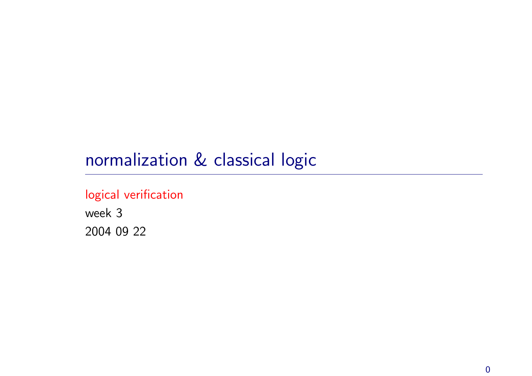# normalization & classical logic

### logical verification

week 3 2004 09 22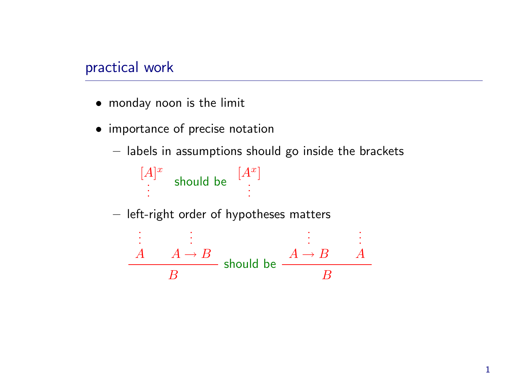### practical work

- monday noon is the limit
- importance of precise notation
	- $-$  labels in assumptions should go inside the brackets



 $-$  left-right order of hypotheses matters

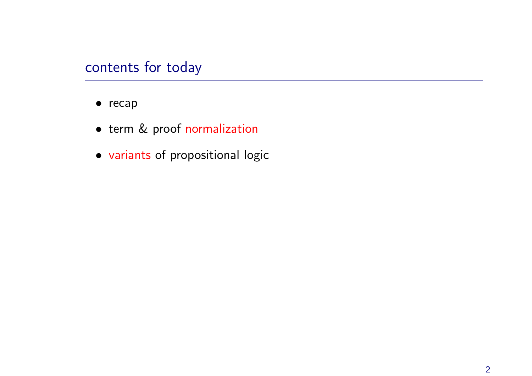### contents for today

- recap
- term & proof normalization
- variants of propositional logic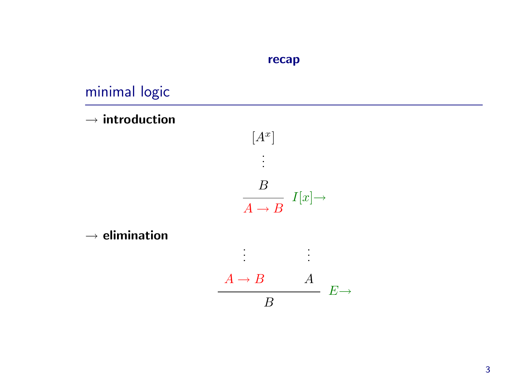#### recap

# minimal logic

 $\rightarrow$  introduction



 $\rightarrow$  elimination

$$
\begin{array}{c}\nA \to B \\
\hline\nB\n\end{array}
$$

. . .

. . .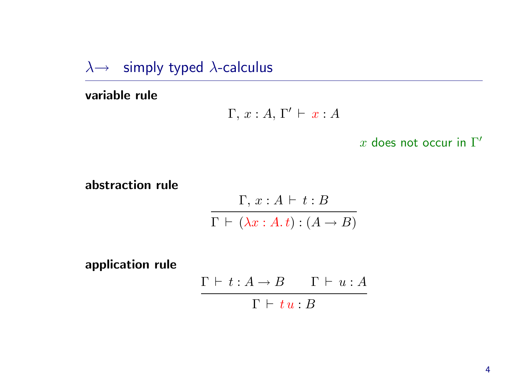$\lambda \rightarrow$  simply typed  $\lambda$ -calculus

variable rule

$$
\Gamma, x:A, \Gamma' \vdash x:A
$$

x does not occur in  $\Gamma'$ 

abstraction rule

$$
\frac{\Gamma, x:A \vdash t:B}{\Gamma \vdash (\lambda x:A.t):(A \rightarrow B)}
$$

application rule

$$
\cfrac{\Gamma\vdash t:A\to B\qquad \Gamma\vdash u:A}{\Gamma\vdash tu:B}
$$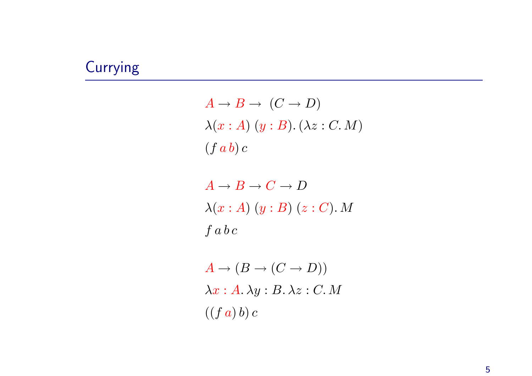# **Currying**

 $A \rightarrow B \rightarrow (C \rightarrow D)$  $\lambda(x:A)$   $(y:B)$ .  $(\lambda z: C. M)$  $(f a b) c$ 

 $A \rightarrow B \rightarrow C \rightarrow D$  $\lambda(x:A)\ (y:B)\ (z:C)$ . M  $\int a b c$ 

 $A \rightarrow (B \rightarrow (C \rightarrow D))$  $\lambda x:A.\lambda y:B.\lambda z:C.M$  $((f a) b) c)$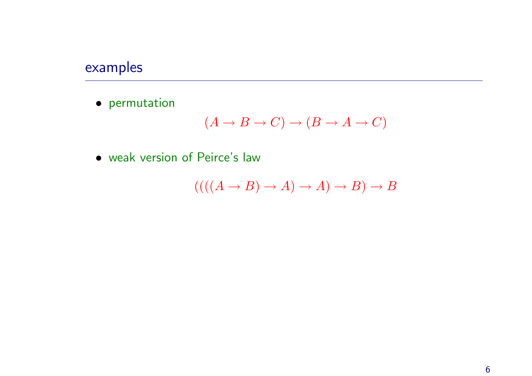# examples

• permutation

$$
(A \to B \to C) \to (B \to A \to C)
$$

• weak version of Peirce's law

$$
(((A \to B) \to A) \to A) \to B) \to B
$$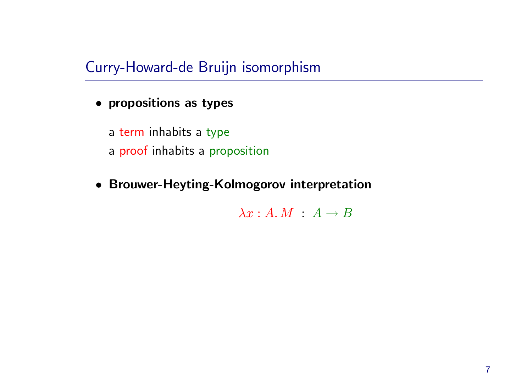Curry-Howard-de Bruijn isomorphism

• propositions as types

<sup>a</sup> term inhabits <sup>a</sup> type <sup>a</sup> proof inhabits <sup>a</sup> proposition

• Brouwer-Heyting-Kolmogorov interpretation

 $\lambda x:A.M : A \rightarrow B$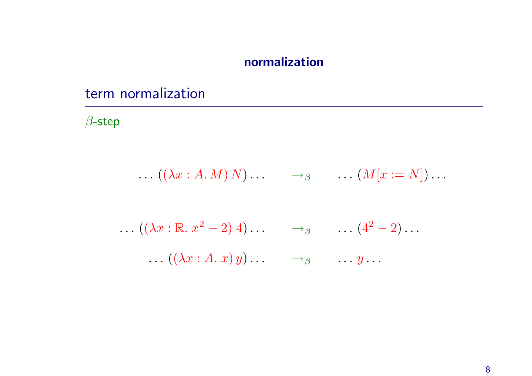### normalization

# term normalization

 $\beta$ -step

$$
\ldots\;((\lambda x:A.M)\,N)\ldots\qquad\to_{\beta}\qquad\ldots\,(M[x:=N])\ldots
$$

$$
\dots ((\lambda x : \mathbb{R} \cdot x^2 - 2) 4) \dots \longrightarrow_{\beta} \dots (4^2 - 2) \dots
$$
  

$$
\dots ((\lambda x : A \cdot x) y) \dots \longrightarrow_{\beta} \dots y \dots
$$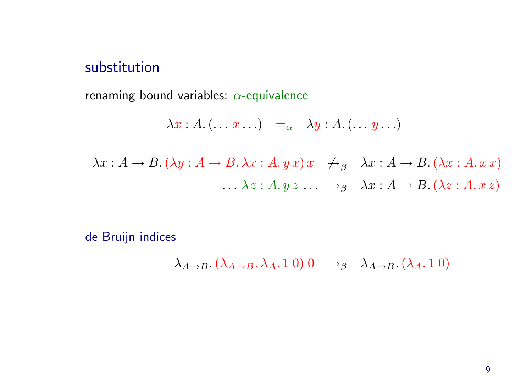### substitution

renaming bound variables:  $\alpha$ -equivalence

$$
\lambda x:A.(\ldots x\ldots) =_{\alpha} \lambda y:A.(\ldots y\ldots)
$$

$$
\lambda x : A \to B. (\lambda y : A \to B. \lambda x : A. y x) x \quad \xrightarrow{\rightarrow}{}_{\beta} \quad \lambda x : A \to B. (\lambda x : A. x x)
$$

$$
\dots \lambda z : A. y z \dots \xrightarrow{\rightarrow}{}_{\beta} \quad \lambda x : A \to B. (\lambda z : A. x z)
$$

de Bruijn indices

$$
\lambda_{A\to B}.\left(\lambda_{A\to B}.\lambda_A.10\right)0 \to_{\beta} \lambda_{A\to B}.\left(\lambda_A.10\right)
$$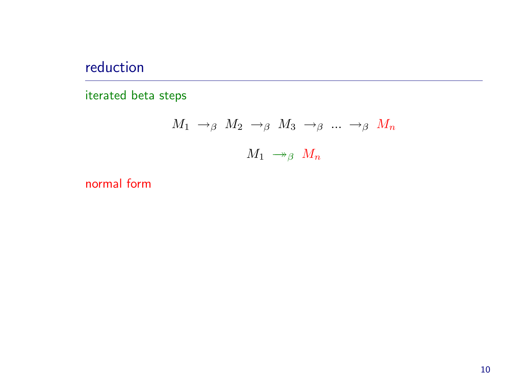# reduction

iterated beta steps

$$
\begin{array}{cccccccc}\nM_1 & \rightarrow_{\beta} & M_2 & \rightarrow_{\beta} & M_3 & \rightarrow_{\beta} & \dots & \rightarrow_{\beta} & M_n \\
 & & & M_1 & \rightarrow_{\beta} & M_n\n\end{array}
$$

normal form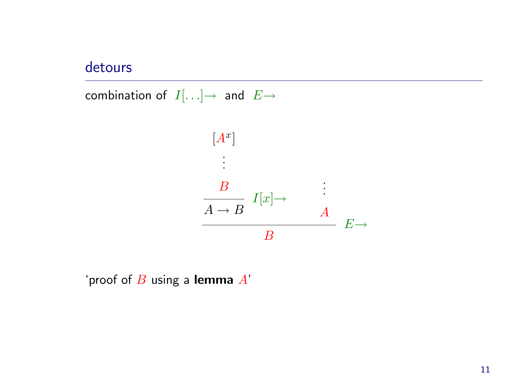### detours

combination of  $I[...] \rightarrow$  and  $E \rightarrow$ 



'proof of  $B$  using a lemma  $A'$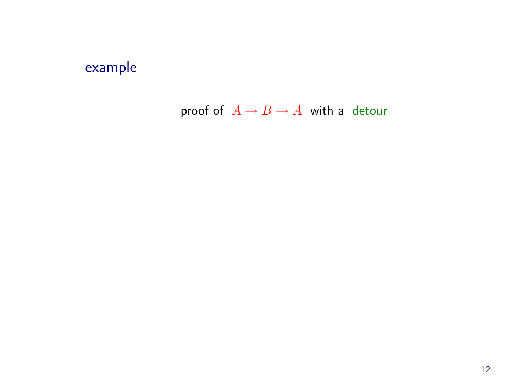# example

### proof of  $A \rightarrow B \rightarrow A$  with a detour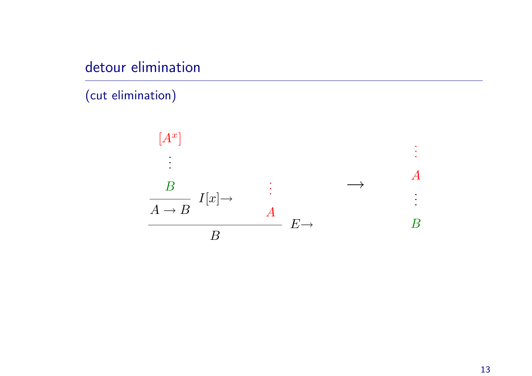# detour elimination

(cut elimination)

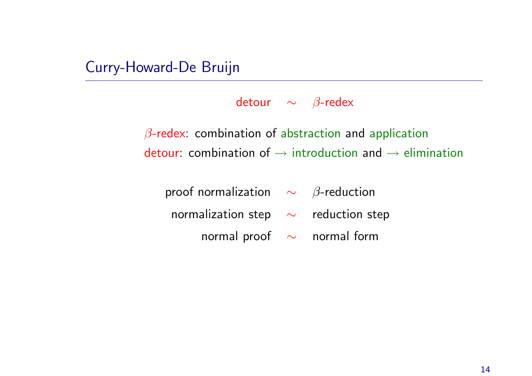### Curry-Howard-De Bruijn

detour  $\sim$   $\beta$ -redex

 $\beta$ -redex: combination of abstraction and application detour: combination of  $\rightarrow$  introduction and  $\rightarrow$  elimination

proof normalization  $\sim$   $\beta$ -reduction normalization step  $\sim$  reduction step normal proof ~ normal form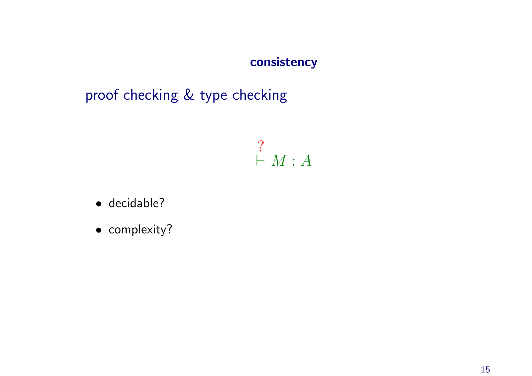### consistency

proof checking & type checking

?  $\vdash M : A$ 

- decidable?
- complexity?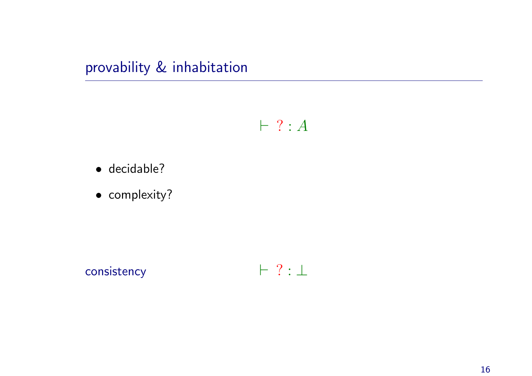provability & inhabitation

 $\vdash ? : A$ 

- · decidable?
- · complexity?

 $\vdash ? : \bot$ consistency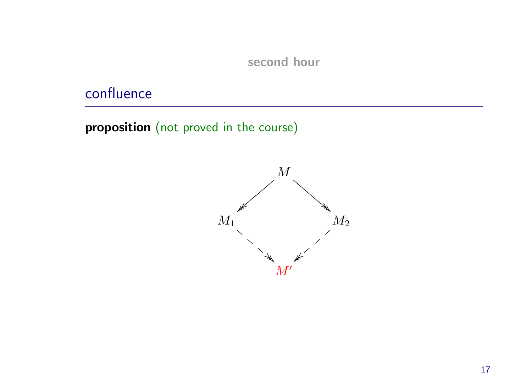#### second hour

# confluence

proposition (not proved in the course)

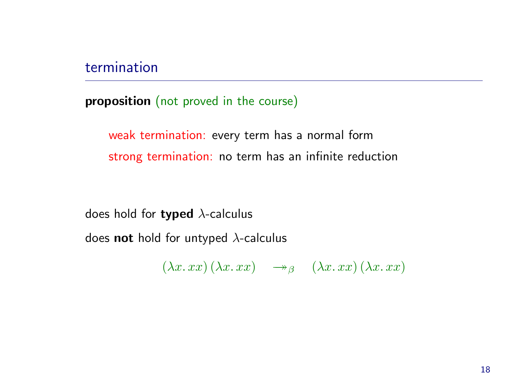### termination

proposition (not proved in the course)

weak termination: every term has <sup>a</sup> normal form strong termination: no term has an infinite reduction

does hold for typed  $\lambda$ -calculus

does **not** hold for untyped  $\lambda$ -calculus

 $(\lambda x. xx)(\lambda x. xx) \rightarrow_{\beta} (\lambda x. xx)(\lambda x. xx)$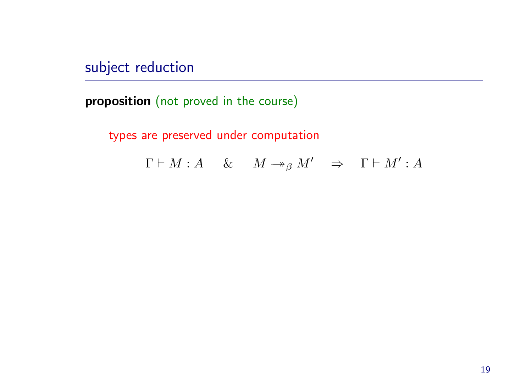subject reduction

proposition (not proved in the course)

types are preserved under computation

 $\Gamma \vdash M : A \quad \& \quad M \rightarrow_{\beta} M' \quad \Rightarrow \quad \Gamma \vdash M' : A$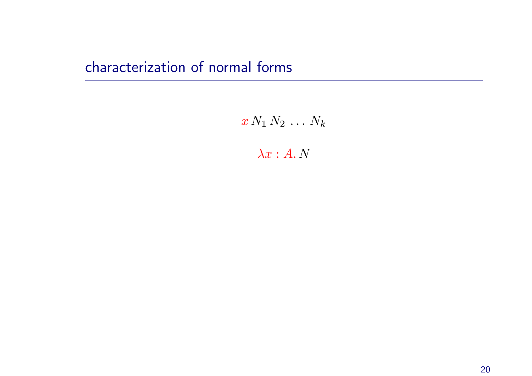# characterization of normal forms

 $x N_1 N_2 \ldots N_k$ 

 $\lambda x:A. N$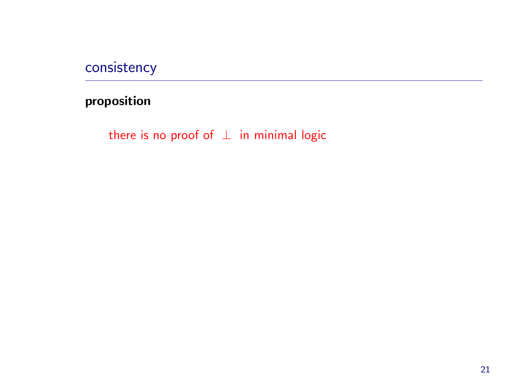consistency

proposition

there is no proof of  $\perp$  in minimal logic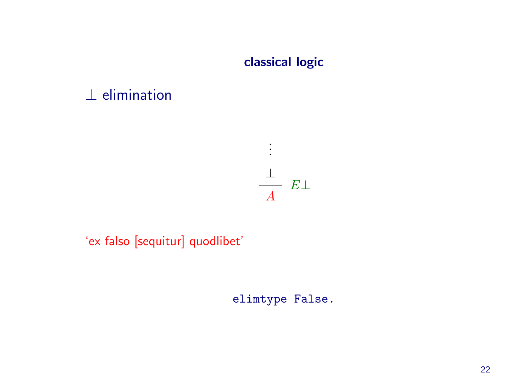### classical logic

# $\perp$  elimination



### 'ex falso [sequitur] quodlibet'

elimtype False.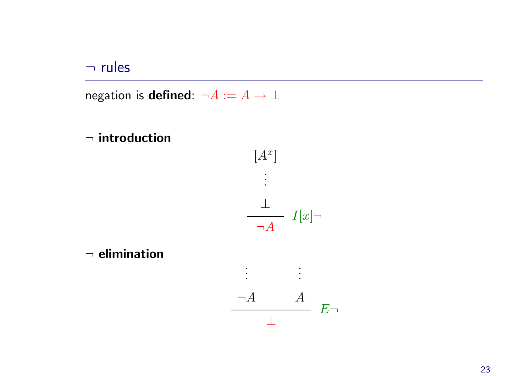#### $\neg$  rules

negation is **defined**:  $\neg A := A \rightarrow \bot$ 





 $\neg$  elimination

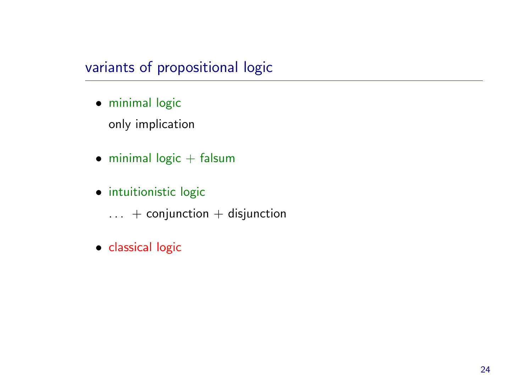### variants of propositional logic

- minimal logic only implication
- $\bullet$  minimal logic  $+$  falsum
- intuitionistic logic
	- $\ldots$  + conjunction + disjunction
- classical logic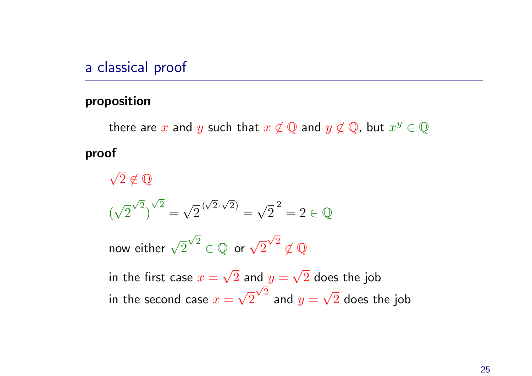### <sup>a</sup> classical proof

#### proposition

there are x and y such that  $x \notin \mathbb{Q}$  and  $y \notin \mathbb{Q}$ , but  $x^y \in \mathbb{Q}$ proof

 $\sqrt{2} \notin \mathbb{Q}$  $(\sqrt{2}^{\sqrt{2}})^{\sqrt{2}} = \sqrt{2}^{(\sqrt{2}\cdot\sqrt{2})} = \sqrt{2}^{2} = 2 \in \mathbb{Q}$ now either  $\sqrt{2}^{\sqrt{2}} \in \mathbb{Q}$  or  $\sqrt{2}^{\sqrt{2}} \notin \mathbb{Q}$ in the first case  $x = \sqrt{2}$  and  $y = \sqrt{2}$  does the job in the second case  $x = \sqrt{2}^{\sqrt{2}}$  and  $y = \sqrt{2}$  does the job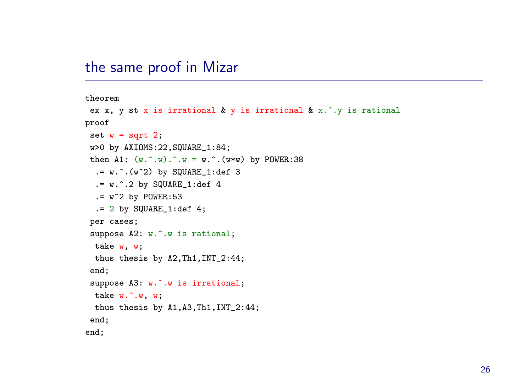### the same proof in Mizar

theorem ex x, y st <sup>x</sup> is irrational & y is irrational & x.^.y is rational proof set  $w = sqrt 2$ ; w>0 by AXIOMS:22,SQUARE\_1:84; then A1:  $(w \cdot w) \cdot w = w \cdot (w \cdot w)$  by POWER:38  $:= w \cdot (w^2)$  by SQUARE 1:def 3  $. = w.^2$  by SQUARE<sub>1:def</sub> 4  $v = w^2$  by POWER:53  $. = 2$  by SQUARE  $1: def 4;$ per cases; suppose A2: w.^.w is rational; take w, w; thus thesis by A2,Th1,INT\_2:44; end; suppose A3: w.^.w is irrational; take w.^.w, w; thus thesis by A1,A3,Th1,INT\_2:44; end; end;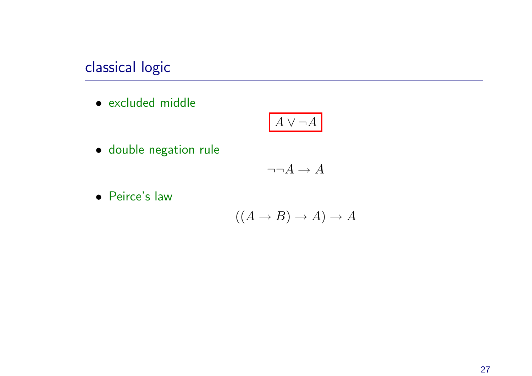# classical logic

• excluded middle

$$
\boxed{A \vee \neg A}
$$

• double negation rule

$$
\neg\neg A\to A
$$

• Peirce's law

$$
((A \to B) \to A) \to A
$$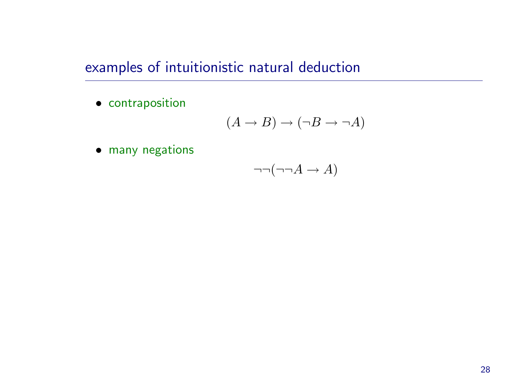examples of intuitionistic natural deduction

• contraposition

$$
(A \to B) \to (\neg B \to \neg A)
$$

• many negations

$$
\neg\neg(\neg\neg A \to A)
$$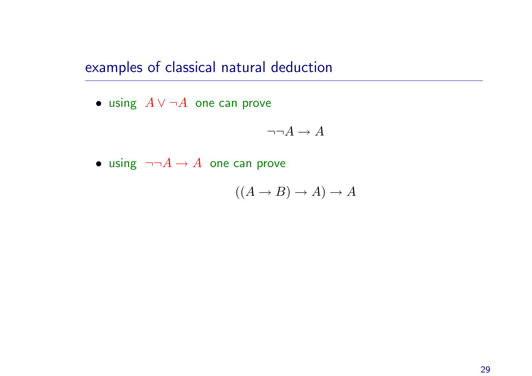examples of classical natural deduction

 $\bullet$  using  $A \lor \neg A$  one can prove

$$
\neg\neg A \to A
$$

 $\bullet\,$  using  $\,\neg\neg A \to A\,$  one can prove

 $((A \rightarrow B) \rightarrow A) \rightarrow A$